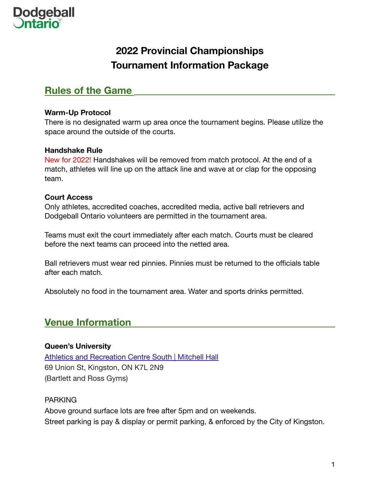

## **2022 Provincial Championships Tournament Information Package**

## **Rules of the Game**

#### **Warm-Up Protocol**

There is no designated warm up area once the tournament begins. Please utilize the space around the outside of the courts.

#### **Handshake Rule**

New for 2022! Handshakes will be removed from match protocol. At the end of a match, athletes will line up on the attack line and wave at or clap for the opposing team.

#### **Court Access**

Only athletes, accredited coaches, accredited media, active ball retrievers and Dodgeball Ontario volunteers are permitted in the tournament area.

Teams must exit the court immediately after each match. Courts must be cleared before the next teams can proceed into the netted area.

Ball retrievers must wear red pinnies. Pinnies must be returned to the officials table after each match.

Absolutely no food in the tournament area. Water and sports drinks permitted.

## **Venue Information**

#### **Queen's University**

[Athletics and Recreation Centre South | Mitchell Hall](https://rec.gogaelsgo.com/sports/2013/7/29/Fac-Serv_0729135054.aspx) 69 Union St, Kingston, ON K7L 2N9 (Bartlett and Ross Gyms)

#### PARKING

Above ground surface lots are free after 5pm and on weekends. Street parking is pay & display or permit parking, & enforced by the City of Kingston.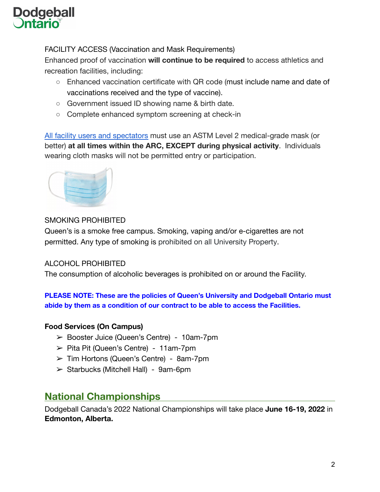# **Dodgeball**

#### FACILITY ACCESS (Vaccination and Mask Requirements)

Enhanced proof of vaccination **will continue to be required** to access athletics and recreation facilities, including:

- Enhanced vaccination certificate with QR code (must include name and date of vaccinations received and the type of vaccine).
- Government issued ID showing name & birth date.
- Complete enhanced symptom screening at check-in

[All facility users and spectators](https://www.queensu.ca/vpfa/covid-19/campus-re-opening-and-operating/guidelines#masking) must use an ASTM Level 2 medical-grade mask (or better) **at all times within the ARC, EXCEPT during physical activity**. Individuals wearing cloth masks will not be permitted entry or participation.



#### SMOKING PROHIBITED

Queen's is a smoke free campus. Smoking, vaping and/or e-cigarettes are not permitted. Any type of smoking is prohibited on all University Property.

#### ALCOHOL PROHIBITED

The consumption of alcoholic beverages is prohibited on or around the Facility.

**PLEASE NOTE: These are the policies of Queen's University and Dodgeball Ontario must abide by them as a condition of our contract to be able to access the Facilities.**

#### **Food Services (On Campus)**

- ➢ Booster Juice (Queen's Centre) 10am-7pm
- $\triangleright$  Pita Pit (Queen's Centre) 11am-7pm
- $\geq$  Tim Hortons (Queen's Centre) 8am-7pm
- $\triangleright$  Starbucks (Mitchell Hall) 9am-6pm

## **National Championships**

Dodgeball Canada's 2022 National Championships will take place **June 16-19, 2022** in **Edmonton, Alberta.**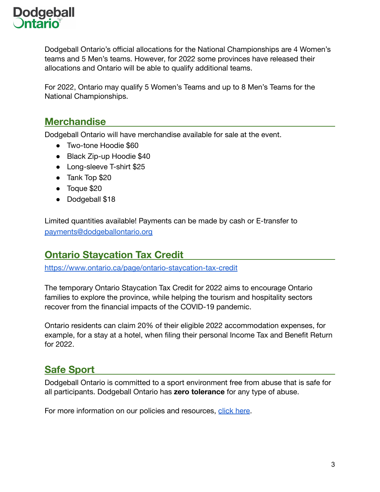

Dodgeball Ontario's official allocations for the National Championships are 4 Women's teams and 5 Men's teams. However, for 2022 some provinces have released their allocations and Ontario will be able to qualify additional teams.

For 2022, Ontario may qualify 5 Women's Teams and up to 8 Men's Teams for the National Championships.

### **Merchandise**

Dodgeball Ontario will have merchandise available for sale at the event.

- Two-tone Hoodie \$60
- Black Zip-up Hoodie \$40
- Long-sleeve T-shirt \$25
- Tank Top \$20
- Toque \$20
- Dodgeball \$18

Limited quantities available! Payments can be made by cash or E-transfer to [payments@dodgeballontario.org](mailto:payments@dodgeballontario.org)

## **Ontario Staycation Tax Credit**

<https://www.ontario.ca/page/ontario-staycation-tax-credit>

The temporary Ontario Staycation Tax Credit for 2022 aims to encourage Ontario families to explore the province, while helping the tourism and hospitality sectors recover from the financial impacts of the COVID-19 pandemic.

Ontario residents can claim 20% of their eligible 2022 accommodation expenses, for example, for a stay at a hotel, when filing their personal Income Tax and Benefit Return for 2022.

## **Safe Sport**

Dodgeball Ontario is committed to a sport environment free from abuse that is safe for all participants. Dodgeball Ontario has **zero tolerance** for any type of abuse.

For more information on our policies and resources, [click here.](https://www.dodgeballontario.org/policies)